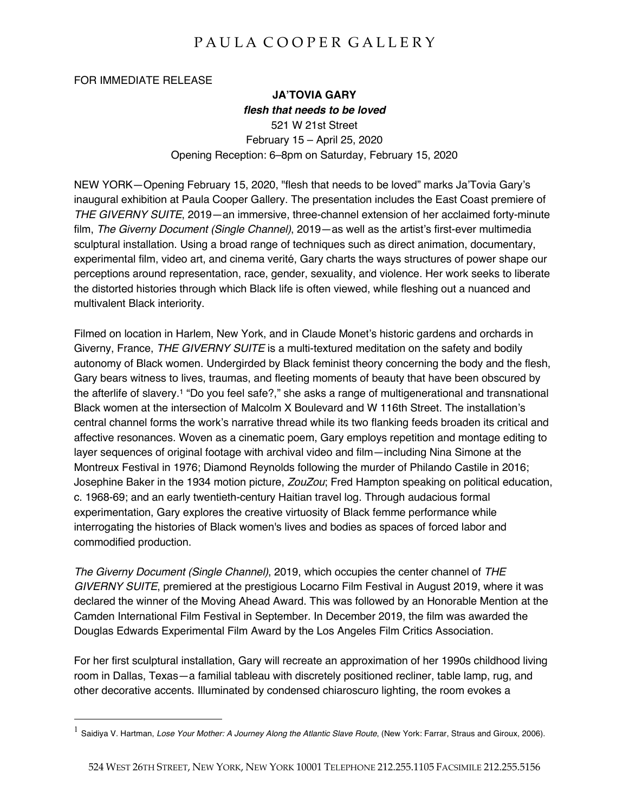## PAULA COOPER GALLERY

FOR IMMEDIATE RELEASE

## **JA'TOVIA GARY** *flesh that needs to be loved* 521 W 21st Street February 15 – April 25, 2020 Opening Reception: 6–8pm on Saturday, February 15, 2020

NEW YORK—Opening February 15, 2020, "flesh that needs to be loved" marks Ja'Tovia Gary's inaugural exhibition at Paula Cooper Gallery. The presentation includes the East Coast premiere of *THE GIVERNY SUITE*, 2019—an immersive, three-channel extension of her acclaimed forty-minute film, *The Giverny Document (Single Channel)*, 2019—as well as the artist's first-ever multimedia sculptural installation. Using a broad range of techniques such as direct animation, documentary, experimental film, video art, and cinema verité, Gary charts the ways structures of power shape our perceptions around representation, race, gender, sexuality, and violence. Her work seeks to liberate the distorted histories through which Black life is often viewed, while fleshing out a nuanced and multivalent Black interiority.

Filmed on location in Harlem, New York, and in Claude Monet's historic gardens and orchards in Giverny, France, *THE GIVERNY SUITE* is a multi-textured meditation on the safety and bodily autonomy of Black women. Undergirded by Black feminist theory concerning the body and the flesh, Gary bears witness to lives, traumas, and fleeting moments of beauty that have been obscured by the afterlife of slavery.1 "Do you feel safe?," she asks a range of multigenerational and transnational Black women at the intersection of Malcolm X Boulevard and W 116th Street. The installation's central channel forms the work's narrative thread while its two flanking feeds broaden its critical and affective resonances. Woven as a cinematic poem, Gary employs repetition and montage editing to layer sequences of original footage with archival video and film—including Nina Simone at the Montreux Festival in 1976; Diamond Reynolds following the murder of Philando Castile in 2016; Josephine Baker in the 1934 motion picture, *ZouZou*; Fred Hampton speaking on political education, c. 1968-69; and an early twentieth-century Haitian travel log. Through audacious formal experimentation, Gary explores the creative virtuosity of Black femme performance while interrogating the histories of Black women's lives and bodies as spaces of forced labor and commodified production.

*The Giverny Document (Single Channel)*, 2019, which occupies the center channel of *THE GIVERNY SUITE*, premiered at the prestigious Locarno Film Festival in August 2019, where it was declared the winner of the Moving Ahead Award. This was followed by an Honorable Mention at the Camden International Film Festival in September. In December 2019, the film was awarded the Douglas Edwards Experimental Film Award by the Los Angeles Film Critics Association.

For her first sculptural installation, Gary will recreate an approximation of her 1990s childhood living room in Dallas, Texas—a familial tableau with discretely positioned recliner, table lamp, rug, and other decorative accents. Illuminated by condensed chiaroscuro lighting, the room evokes a

<sup>&</sup>lt;sup>1</sup> Saidiva V. Hartman, Lose Your Mother: A Journey Along the Atlantic Slave Route, (New York: Farrar, Straus and Giroux, 2006).